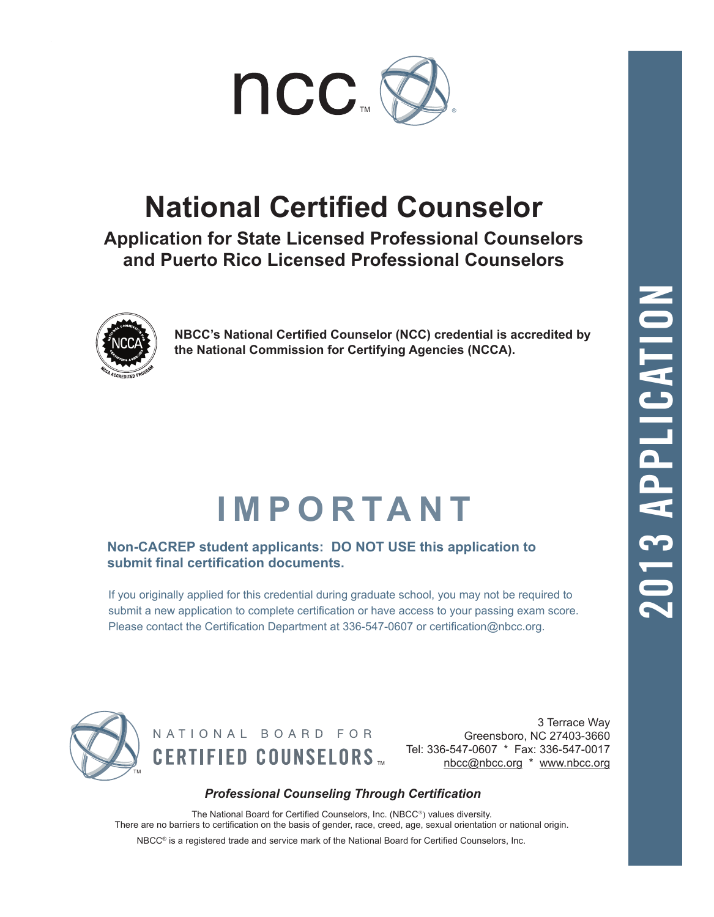

### **National Certified Counselor**

**Application for State Licensed Professional Counselors and Puerto Rico Licensed Professional Counselors**



**NBCC's National Certified Counselor (NCC) credential is accredited by the National Commission for Certifying Agencies (NCCA).**

## **IMPORTANT**

**Non-CACREP student applicants: DO NOT USE this application to submit final certification documents.**

If you originally applied for this credential during graduate school, you may not be required to submit a new application to complete certification or have access to your passing exam score. Please contact the Certification Department at 336-547-0607 or certification@nbcc.org.



NATIONAL BOARD FOR **CERTIFIED COUNSELORS ...** 

3 Terrace Way Greensboro, NC 27403-3660 Tel: 336-547-0607 \* Fax: 336-547-0017<br>nbcc@nbcc.org \* www.nbcc.org

#### *Professional Counseling Through Certification*

The National Board for Certified Counselors, Inc. (NBCC®) values diversity. There are no barriers to certification on the basis of gender, race, creed, age, sexual orientation or national origin. NBCC® is a registered trade and service mark of the National Board for Certified Counselors, Inc.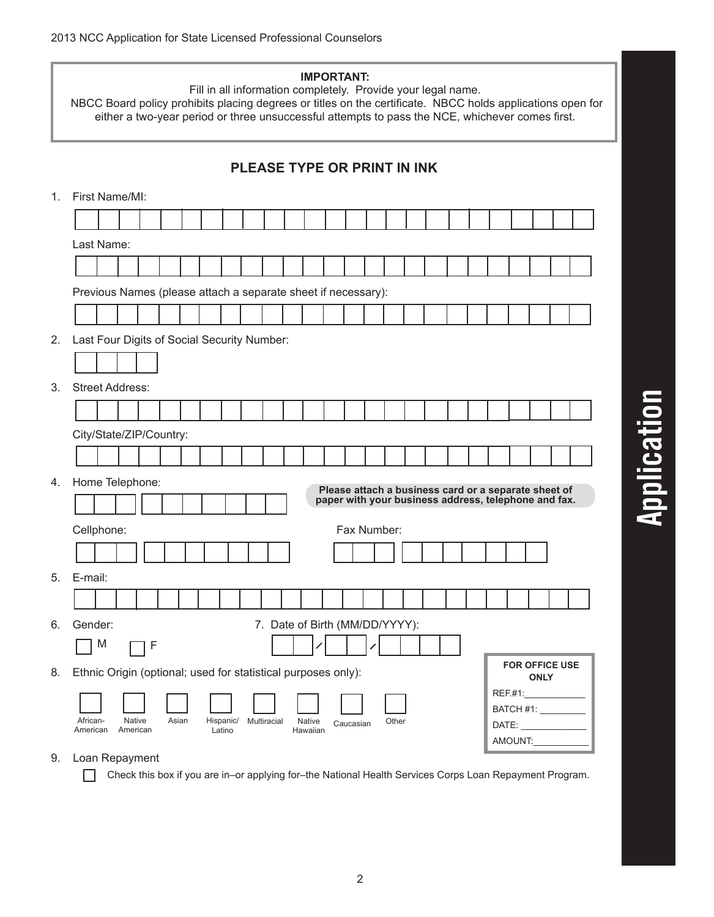|    | <b>IMPORTANT:</b><br>Fill in all information completely. Provide your legal name.<br>NBCC Board policy prohibits placing degrees or titles on the certificate. NBCC holds applications open for<br>either a two-year period or three unsuccessful attempts to pass the NCE, whichever comes first. |  |  |  |  |  |  |  |  |  |  |  |  |  |
|----|----------------------------------------------------------------------------------------------------------------------------------------------------------------------------------------------------------------------------------------------------------------------------------------------------|--|--|--|--|--|--|--|--|--|--|--|--|--|
|    | <b>PLEASE TYPE OR PRINT IN INK</b>                                                                                                                                                                                                                                                                 |  |  |  |  |  |  |  |  |  |  |  |  |  |
| 1. | First Name/MI:                                                                                                                                                                                                                                                                                     |  |  |  |  |  |  |  |  |  |  |  |  |  |
|    |                                                                                                                                                                                                                                                                                                    |  |  |  |  |  |  |  |  |  |  |  |  |  |
|    | Last Name:                                                                                                                                                                                                                                                                                         |  |  |  |  |  |  |  |  |  |  |  |  |  |
|    |                                                                                                                                                                                                                                                                                                    |  |  |  |  |  |  |  |  |  |  |  |  |  |
|    | Previous Names (please attach a separate sheet if necessary):                                                                                                                                                                                                                                      |  |  |  |  |  |  |  |  |  |  |  |  |  |
|    |                                                                                                                                                                                                                                                                                                    |  |  |  |  |  |  |  |  |  |  |  |  |  |
| 2. | Last Four Digits of Social Security Number:                                                                                                                                                                                                                                                        |  |  |  |  |  |  |  |  |  |  |  |  |  |
|    |                                                                                                                                                                                                                                                                                                    |  |  |  |  |  |  |  |  |  |  |  |  |  |
| 3. | <b>Street Address:</b>                                                                                                                                                                                                                                                                             |  |  |  |  |  |  |  |  |  |  |  |  |  |
|    |                                                                                                                                                                                                                                                                                                    |  |  |  |  |  |  |  |  |  |  |  |  |  |
|    | City/State/ZIP/Country:                                                                                                                                                                                                                                                                            |  |  |  |  |  |  |  |  |  |  |  |  |  |
|    |                                                                                                                                                                                                                                                                                                    |  |  |  |  |  |  |  |  |  |  |  |  |  |
| 4. | Home Telephone:<br>Please attach a business card or a separate sheet of<br>paper with your business address, telephone and fax.                                                                                                                                                                    |  |  |  |  |  |  |  |  |  |  |  |  |  |
|    | Fax Number:                                                                                                                                                                                                                                                                                        |  |  |  |  |  |  |  |  |  |  |  |  |  |
|    | Cellphone:                                                                                                                                                                                                                                                                                         |  |  |  |  |  |  |  |  |  |  |  |  |  |
| 5. | E-mail:                                                                                                                                                                                                                                                                                            |  |  |  |  |  |  |  |  |  |  |  |  |  |
|    |                                                                                                                                                                                                                                                                                                    |  |  |  |  |  |  |  |  |  |  |  |  |  |
| 6. | 7. Date of Birth (MM/DD/YYYY):<br>Gender:                                                                                                                                                                                                                                                          |  |  |  |  |  |  |  |  |  |  |  |  |  |
|    | M<br>1 F                                                                                                                                                                                                                                                                                           |  |  |  |  |  |  |  |  |  |  |  |  |  |
| 8. | <b>FOR OFFICE USE</b><br>Ethnic Origin (optional; used for statistical purposes only):                                                                                                                                                                                                             |  |  |  |  |  |  |  |  |  |  |  |  |  |
|    | <b>ONLY</b><br>REF.#1:_______________<br>BATCH #1: __________                                                                                                                                                                                                                                      |  |  |  |  |  |  |  |  |  |  |  |  |  |
|    | African-<br><b>Native</b><br>Asian<br>Multiracial<br><b>Native</b><br>Hispanic/<br>Other<br>Caucasian<br>DATE:<br>American<br>American<br>Latino<br>Hawaiian<br>AMOUNT:                                                                                                                            |  |  |  |  |  |  |  |  |  |  |  |  |  |

9. Loan Repayment

Check this box if you are in–or applying for–the National Health Services Corps Loan Repayment Program.

# **Application**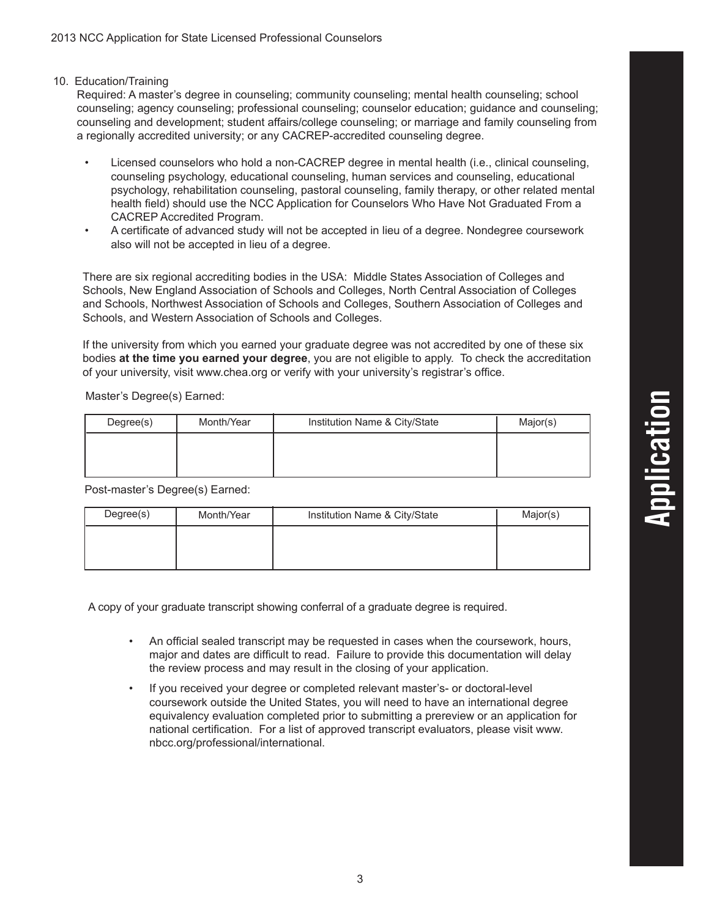#### 10. Education/Training

Required: A master's degree in counseling; community counseling; mental health counseling; school counseling; agency counseling; professional counseling; counselor education; guidance and counseling; counseling and development; student affairs/college counseling; or marriage and family counseling from a regionally accredited university; or any CACREP-accredited counseling degree.

- Licensed counselors who hold a non-CACREP degree in mental health (i.e., clinical counseling, counseling psychology, educational counseling, human services and counseling, educational psychology, rehabilitation counseling, pastoral counseling, family therapy, or other related mental health field) should use the NCC Application for Counselors Who Have Not Graduated From a CACREP Accredited Program.
- A certificate of advanced study will not be accepted in lieu of a degree. Nondegree coursework also will not be accepted in lieu of a degree.

There are six regional accrediting bodies in the USA: Middle States Association of Colleges and Schools, New England Association of Schools and Colleges, North Central Association of Colleges and Schools, Northwest Association of Schools and Colleges, Southern Association of Colleges and Schools, and Western Association of Schools and Colleges.

If the university from which you earned your graduate degree was not accredited by one of these six bodies **at the time you earned your degree**, you are not eligible to apply. To check the accreditation of your university, visit www.chea.org or verify with your university's registrar's office.

Master's Degree(s) Earned:

| Degree(s) | Month/Year | Institution Name & City/State | Major(s) |
|-----------|------------|-------------------------------|----------|
|           |            |                               |          |
|           |            |                               |          |
|           |            |                               |          |

Post-master's Degree(s) Earned:

| Degree(s) | Month/Year | Institution Name & City/State | Major(s) |
|-----------|------------|-------------------------------|----------|
|           |            |                               |          |
|           |            |                               |          |
|           |            |                               |          |

A copy of your graduate transcript showing conferral of a graduate degree is required.

- An official sealed transcript may be requested in cases when the coursework, hours, major and dates are difficult to read. Failure to provide this documentation will delay the review process and may result in the closing of your application.
- If you received your degree or completed relevant master's- or doctoral-level coursework outside the United States, you will need to have an international degree equivalency evaluation completed prior to submitting a prereview or an application for national certification. For a list of approved transcript evaluators, please visit www. nbcc.org/professional/international.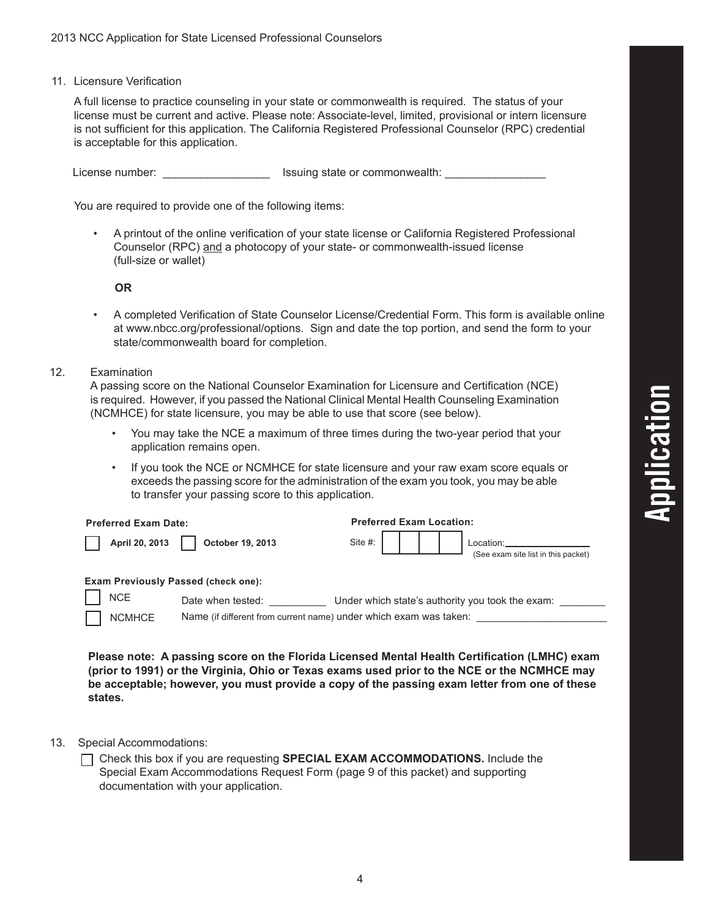11. Licensure Verification

A full license to practice counseling in your state or commonwealth is required. The status of your license must be current and active. Please note: Associate-level, limited, provisional or intern licensure is not sufficient for this application. The California Registered Professional Counselor (RPC) credential is acceptable for this application.

License number: \_\_\_\_\_\_\_\_\_\_\_\_\_\_\_\_\_ Issuing state or commonwealth: \_\_\_\_\_\_\_\_\_\_\_\_\_\_\_\_

You are required to provide one of the following items:

• A printout of the online verification of your state license or California Registered Professional Counselor (RPC) and a photocopy of your state- or commonwealth-issued license (full-size or wallet)

#### **OR**

• A completed Verification of State Counselor License/Credential Form. This form is available online at www.nbcc.org/professional/options. Sign and date the top portion, and send the form to your state/commonwealth board for completion.

#### 12. Examination

A passing score on the National Counselor Examination for Licensure and Certification (NCE) is required. However, if you passed the National Clinical Mental Health Counseling Examination (NCMHCE) for state licensure, you may be able to use that score (see below).

- You may take the NCE a maximum of three times during the two-year period that your application remains open.
- If you took the NCE or NCMHCE for state licensure and your raw exam score equals or exceeds the passing score for the administration of the exam you took, you may be able to transfer your passing score to this application.

| <b>Preferred Exam Date:</b>                |                                                                   | <b>Preferred Exam Location:</b>                  |                                                  |  |  |  |  |  |  |  |
|--------------------------------------------|-------------------------------------------------------------------|--------------------------------------------------|--------------------------------------------------|--|--|--|--|--|--|--|
| April 20, 2013                             | October 19, 2013                                                  | Site #: $\vert$                                  | Location:<br>(See exam site list in this packet) |  |  |  |  |  |  |  |
| <b>Exam Previously Passed (check one):</b> |                                                                   |                                                  |                                                  |  |  |  |  |  |  |  |
| <b>NCE</b>                                 | Date when tested:                                                 | Under which state's authority you took the exam: |                                                  |  |  |  |  |  |  |  |
| <b>NCMHCE</b>                              | Name (if different from current name) under which exam was taken: |                                                  |                                                  |  |  |  |  |  |  |  |

**Please note: A passing score on the Florida Licensed Mental Health Certification (LMHC) exam (prior to 1991) or the Virginia, Ohio or Texas exams used prior to the NCE or the NCMHCE may be acceptable; however, you must provide a copy of the passing exam letter from one of these states.**

- 13. Special Accommodations:
	- Check this box if you are requesting **SPECIAL EXAM ACCOMMODATIONS.** Include the Special Exam Accommodations Request Form (page 9 of this packet) and supporting documentation with your application.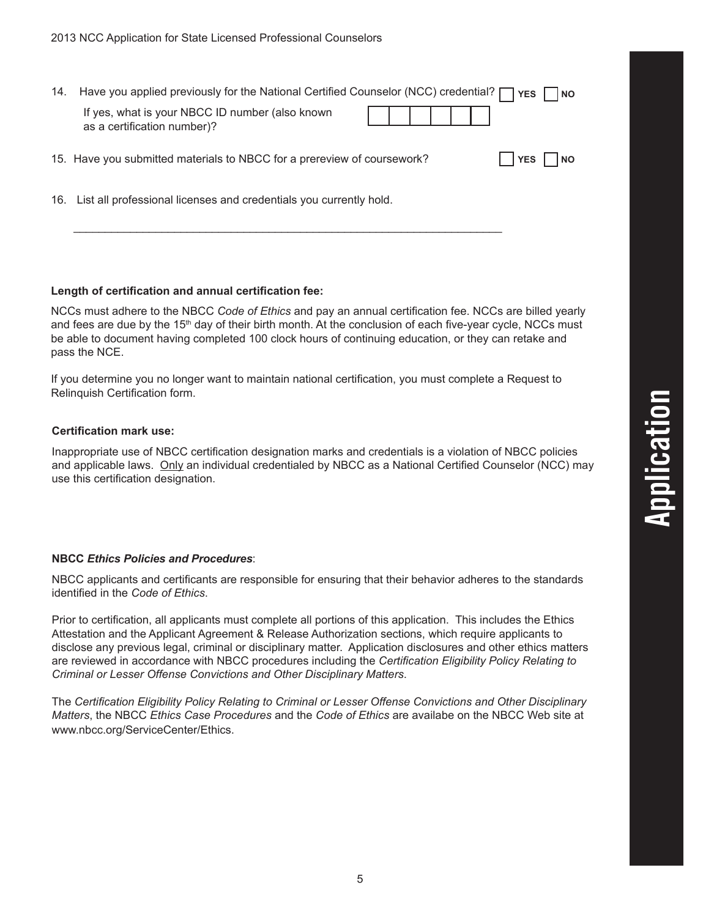| 14. | Have you applied previously for the National Certified Counselor (NCC) credential? [ | YES  <br>$ $ NO |  |
|-----|--------------------------------------------------------------------------------------|-----------------|--|
|     | If yes, what is your NBCC ID number (also known<br>as a certification number)?       |                 |  |
|     | 15. Have you submitted materials to NBCC for a prereview of coursework?              | l NO<br>l YES   |  |
|     | 16. List all professional licenses and credentials you currently hold.               |                 |  |

\_\_\_\_\_\_\_\_\_\_\_\_\_\_\_\_\_\_\_\_\_\_\_\_\_\_\_\_\_\_\_\_\_\_\_\_\_\_\_\_\_\_\_\_\_\_\_\_\_\_\_\_\_\_\_\_\_\_\_\_\_\_\_\_\_\_\_\_

#### **Length of certification and annual certification fee:**

NCCs must adhere to the NBCC *Code of Ethics* and pay an annual certification fee. NCCs are billed yearly and fees are due by the 15<sup>th</sup> day of their birth month. At the conclusion of each five-year cycle, NCCs must be able to document having completed 100 clock hours of continuing education, or they can retake and pass the NCE.

If you determine you no longer want to maintain national certification, you must complete a Request to Relinquish Certification form.

#### **Certification mark use:**

Inappropriate use of NBCC certification designation marks and credentials is a violation of NBCC policies and applicable laws. Only an individual credentialed by NBCC as a National Certified Counselor (NCC) may use this certification designation.

#### **NBCC** *Ethics Policies and Procedures*:

NBCC applicants and certificants are responsible for ensuring that their behavior adheres to the standards identified in the *Code of Ethics*.

Prior to certification, all applicants must complete all portions of this application. This includes the Ethics Attestation and the Applicant Agreement & Release Authorization sections, which require applicants to disclose any previous legal, criminal or disciplinary matter. Application disclosures and other ethics matters are reviewed in accordance with NBCC procedures including the *Certification Eligibility Policy Relating to Criminal or Lesser Offense Convictions and Other Disciplinary Matters*.

The *Certification Eligibility Policy Relating to Criminal or Lesser Offense Convictions and Other Disciplinary Matters*, the NBCC *Ethics Case Procedures* and the *Code of Ethics* are availabe on the NBCC Web site at www.nbcc.org/ServiceCenter/Ethics.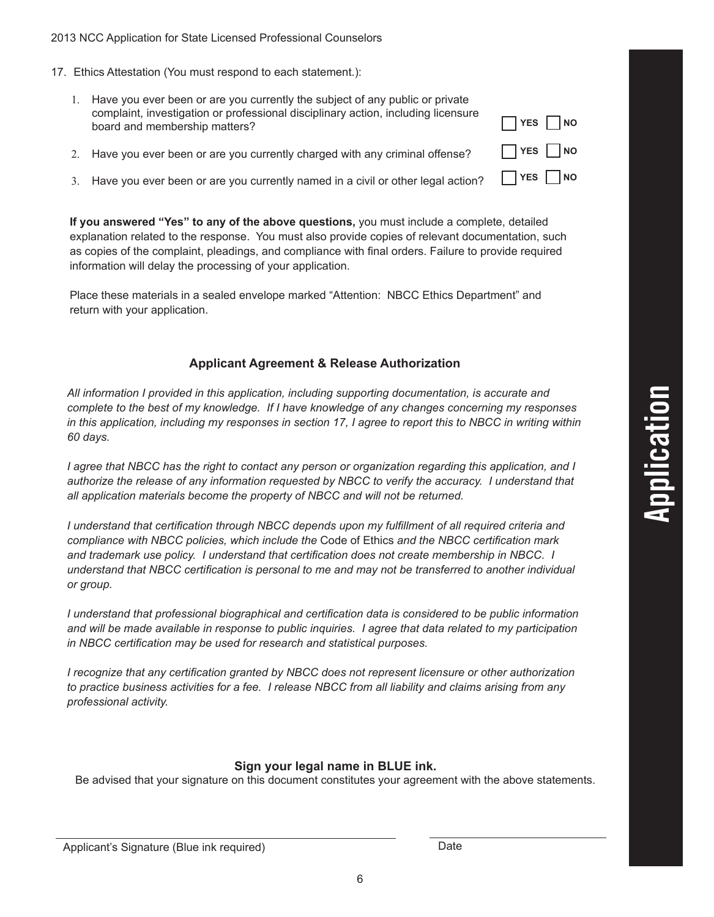#### 2013 NCC Application for State Licensed Professional Counselors

- 17. Ethics Attestation (You must respond to each statement.):
	- 1. Have you ever been or are you currently the subject of any public or private complaint, investigation or professional disciplinary action, including licensure board and membership matters?
	- 2. Have you ever been or are you currently charged with any criminal offense?
	- 3. Have you ever been or are you currently named in a civil or other legal action?

**If you answered "Yes" to any of the above questions,** you must include a complete, detailed explanation related to the response. You must also provide copies of relevant documentation, such as copies of the complaint, pleadings, and compliance with final orders. Failure to provide required information will delay the processing of your application.

Place these materials in a sealed envelope marked "Attention: NBCC Ethics Department" and return with your application.

#### **Applicant Agreement & Release Authorization**

*All information I provided in this application, including supporting documentation, is accurate and complete to the best of my knowledge. If I have knowledge of any changes concerning my responses in this application, including my responses in section 17, I agree to report this to NBCC in writing within 60 days.*

*I agree that NBCC has the right to contact any person or organization regarding this application, and I authorize the release of any information requested by NBCC to verify the accuracy. I understand that all application materials become the property of NBCC and will not be returned.*

*I understand that certification through NBCC depends upon my fulfillment of all required criteria and compliance with NBCC policies, which include the* Code of Ethics *and the NBCC certification mark and trademark use policy. I understand that certification does not create membership in NBCC. I understand that NBCC certification is personal to me and may not be transferred to another individual or group.*

*I understand that professional biographical and certification data is considered to be public information and will be made available in response to public inquiries. I agree that data related to my participation in NBCC certification may be used for research and statistical purposes.*

*I recognize that any certification granted by NBCC does not represent licensure or other authorization to practice business activities for a fee. I release NBCC from all liability and claims arising from any professional activity.*

#### **Sign your legal name in BLUE ink.**

Be advised that your signature on this document constitutes your agreement with the above statements.

6

| <b>YES</b> | <b>NO</b>                 |
|------------|---------------------------|
| <b>YES</b> | $\mathbf{L}$<br><b>NO</b> |
| <b>YES</b> | <b>NO</b>                 |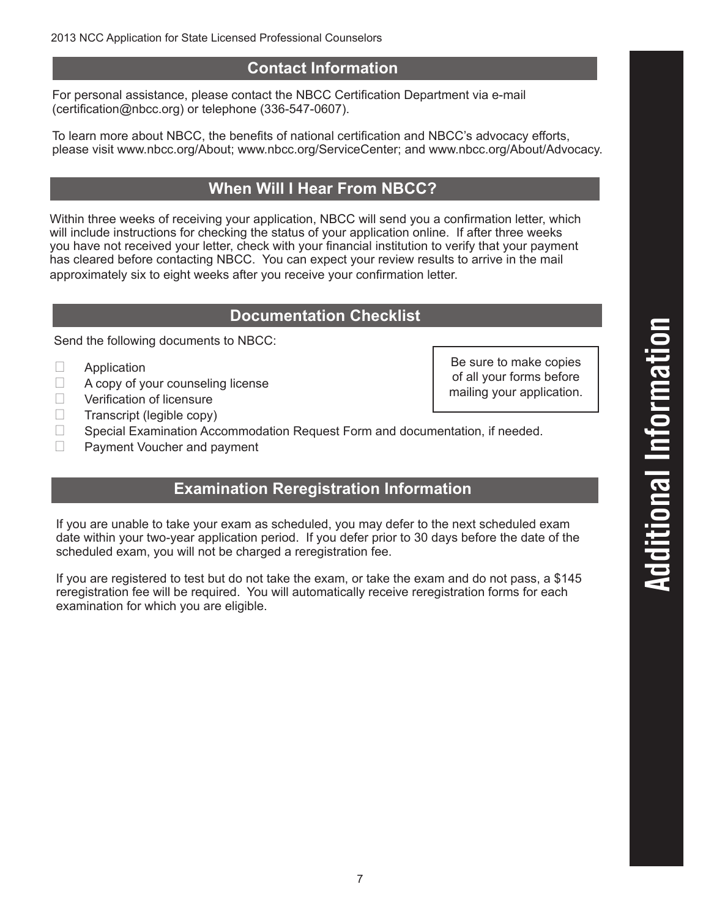#### **Contact Information**

For personal assistance, please contact the NBCC Certification Department via e-mail (certification@nbcc.org) or telephone (336-547-0607).

To learn more about NBCC, the benefits of national certification and NBCC's advocacy efforts, please visit www.nbcc.org/About; www.nbcc.org/ServiceCenter; and www.nbcc.org/About/Advocacy.

#### **When Will I Hear From NBCC?**

Within three weeks of receiving your application, NBCC will send you a confirmation letter, which will include instructions for checking the status of your application online. If after three weeks you have not received your letter, check with your financial institution to verify that your payment has cleared before contacting NBCC. You can expect your review results to arrive in the mail approximately six to eight weeks after you receive your confirmation letter.

#### **Documentation Checklist**

Send the following documents to NBCC:

- $\Box$  Application
- $\Box$  A copy of your counseling license
- $\Box$  Verification of licensure<br>
Transcript (legible copy)
- Transcript (legible copy)

 $\Box$  Special Examination Accommodation Request Form and documentation, if needed.

 $\Box$  Payment Voucher and payment

#### **Examination Reregistration Information**

If you are unable to take your exam as scheduled, you may defer to the next scheduled exam date within your two-year application period. If you defer prior to 30 days before the date of the scheduled exam, you will not be charged a reregistration fee.

If you are registered to test but do not take the exam, or take the exam and do not pass, a \$145 reregistration fee will be required. You will automatically receive reregistration forms for each examination for which you are eligible.

Be sure to make copies of all your forms before mailing your application.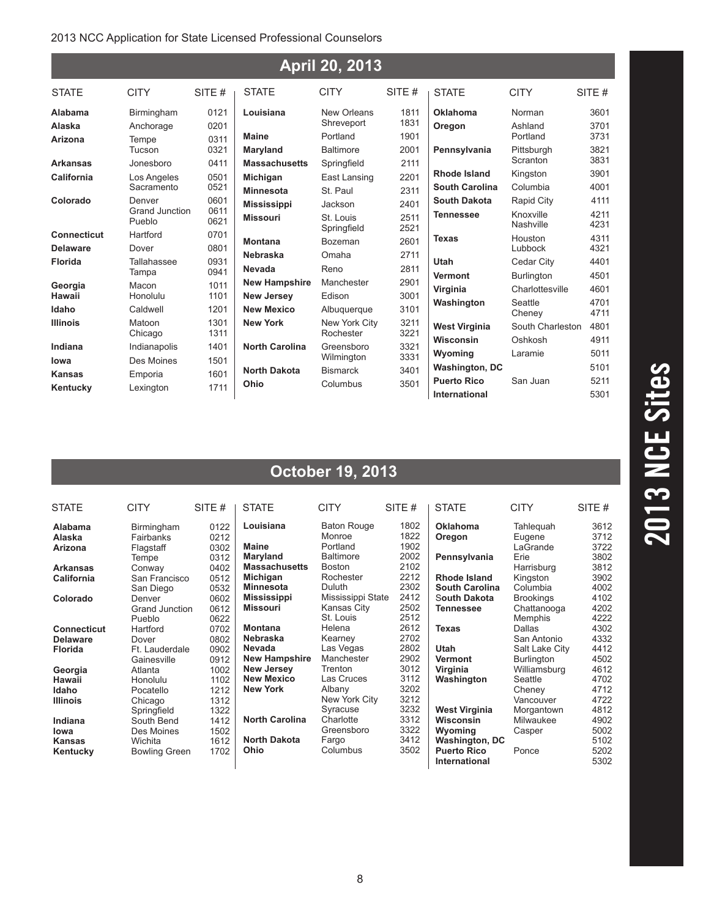#### 2013 NCC Application for State Licensed Professional Counselors

| <b>April 20, 2013</b>                |                                      |                      |                                        |                              |              |                                                              |                                      |                      |  |  |  |
|--------------------------------------|--------------------------------------|----------------------|----------------------------------------|------------------------------|--------------|--------------------------------------------------------------|--------------------------------------|----------------------|--|--|--|
| <b>STATE</b>                         | <b>CITY</b>                          | SITE#                | <b>STATE</b>                           | <b>CITY</b>                  | SITE#        | <b>STATE</b>                                                 | <b>CITY</b>                          | SITE#                |  |  |  |
| Alabama<br>Alaska                    | Birmingham<br>Anchorage              | 0121<br>0201         | Louisiana                              | New Orleans<br>Shreveport    | 1811<br>1831 | <b>Oklahoma</b><br>Oregon                                    | Norman<br>Ashland                    | 3601<br>3701         |  |  |  |
| Arizona                              | Tempe<br>Tucson                      | 0311<br>0321         | <b>Maine</b><br>Maryland               | Portland<br><b>Baltimore</b> | 1901<br>2001 | Pennsylvania                                                 | Portland<br>Pittsburgh               | 3731<br>3821         |  |  |  |
| <b>Arkansas</b><br><b>California</b> | Jonesboro<br>Los Angeles             | 0411<br>0501         | <b>Massachusetts</b><br>Michigan       | Springfield<br>East Lansing  | 2111<br>2201 | <b>Rhode Island</b>                                          | Scranton<br>Kingston                 | 3831<br>3901         |  |  |  |
| Colorado                             | Sacramento<br>Denver                 | 0521<br>0601<br>0611 | <b>Minnesota</b><br><b>Mississippi</b> | St. Paul<br>Jackson          | 2311<br>2401 | <b>South Carolina</b><br><b>South Dakota</b>                 | Columbia<br>Rapid City               | 4001<br>4111         |  |  |  |
| <b>Connecticut</b>                   | Grand Junction<br>Pueblo<br>Hartford | 0621<br>0701         | <b>Missouri</b>                        | St. Louis<br>Springfield     | 2511<br>2521 | <b>Tennessee</b>                                             | Knoxville<br>Nashville               | 4211<br>4231         |  |  |  |
| <b>Delaware</b><br><b>Florida</b>    | Dover<br>Tallahassee                 | 0801<br>0931         | <b>Montana</b><br><b>Nebraska</b>      | <b>Bozeman</b><br>Omaha      | 2601<br>2711 | <b>Texas</b><br><b>Utah</b>                                  | Houston<br>Lubbock<br>Cedar City     | 4311<br>4321<br>4401 |  |  |  |
| Georgia                              | Tampa<br>Macon                       | 0941<br>1011         | Nevada<br><b>New Hampshire</b>         | Reno<br>Manchester           | 2811<br>2901 | <b>Vermont</b>                                               | <b>Burlington</b><br>Charlottesville | 4501<br>4601         |  |  |  |
| Hawaii<br>Idaho                      | Honolulu<br>Caldwell                 | 1101<br>1201         | <b>New Jersey</b><br><b>New Mexico</b> | Edison<br>Albuquerque        | 3001<br>3101 | Virginia<br>Washington                                       | Seattle<br>Cheney                    | 4701<br>4711         |  |  |  |
| <b>Illinois</b>                      | Matoon<br>Chicago                    | 1301<br>1311         | <b>New York</b>                        | New York City<br>Rochester   | 3211<br>3221 | <b>West Virginia</b><br>Wisconsin                            | South Charleston<br>Oshkosh          | 4801<br>4911         |  |  |  |
| Indiana<br>lowa                      | Indianapolis<br>Des Moines           | 1401<br>1501         | <b>North Carolina</b>                  | Greensboro<br>Wilmington     | 3321<br>3331 | Wyoming                                                      | Laramie                              | 5011<br>5101         |  |  |  |
| <b>Kansas</b><br>Kentucky            | Emporia<br>Lexington                 | 1601<br>1711         | <b>North Dakota</b><br>Ohio            | <b>Bismarck</b><br>Columbus  | 3401<br>3501 | <b>Washington, DC</b><br><b>Puerto Rico</b><br>International | San Juan                             | 5211<br>5301         |  |  |  |

#### **October 19, 2013**

| <b>STATE</b>                                            | <b>CITY</b>                                     | SITE $#$                     | <b>STATE</b>                                                   | <b>CITY</b>                                                  | SITE $#$                     | <b>STATE</b>                                         | <b>CITY</b>                                  | SITE $#$                     |
|---------------------------------------------------------|-------------------------------------------------|------------------------------|----------------------------------------------------------------|--------------------------------------------------------------|------------------------------|------------------------------------------------------|----------------------------------------------|------------------------------|
| <b>Alabama</b><br>Alaska<br>Arizona                     | Birmingham<br>Fairbanks<br>Flagstaff<br>Tempe   | 0122<br>0212<br>0302<br>0312 | Louisiana<br><b>Maine</b><br>Maryland                          | <b>Baton Rouge</b><br>Monroe<br>Portland<br><b>Baltimore</b> | 1802<br>1822<br>1902<br>2002 | <b>Oklahoma</b><br>Oregon<br>Pennsylvania            | Tahleguah<br>Eugene<br>LaGrande<br>Erie      | 3612<br>3712<br>3722<br>3802 |
| <b>Arkansas</b><br>California                           | Conway<br>San Francisco<br>San Diego            | 0402<br>0512<br>0532         | <b>Massachusetts</b><br><b>Michigan</b><br><b>Minnesota</b>    | <b>Boston</b><br>Rochester<br>Duluth                         | 2102<br>2212<br>2302         | Rhode Island<br><b>South Carolina</b>                | Harrisburg<br>Kingston<br>Columbia           | 3812<br>3902<br>4002         |
| Colorado                                                | Denver<br>Grand Junction<br>Pueblo              | 0602<br>0612<br>0622         | <b>Mississippi</b><br><b>Missouri</b>                          | Mississippi State<br>Kansas City<br>St. Louis                | 2412<br>2502<br>2512         | South Dakota<br><b>Tennessee</b>                     | <b>Brookings</b><br>Chattanooga<br>Memphis   | 4102<br>4202<br>4222         |
| <b>Connecticut</b><br><b>Delaware</b><br><b>Florida</b> | Hartford<br>Dover<br>Ft. Lauderdale             | 0702<br>0802<br>0902         | <b>Montana</b><br>Nebraska<br>Nevada                           | Helena<br>Kearney<br>Las Vegas                               | 2612<br>2702<br>2802         | <b>Texas</b><br>Utah                                 | Dallas<br>San Antonio<br>Salt Lake City      | 4302<br>4332<br>4412         |
| Georgia                                                 | Gainesville<br>Atlanta                          | 0912<br>1002                 | <b>New Hampshire</b><br><b>New Jersey</b><br><b>New Mexico</b> | Manchester<br>Trenton<br>Las Cruces                          | 2902<br>3012<br>3112         | Vermont<br>Virginia<br>Washington                    | <b>Burlington</b><br>Williamsburg<br>Seattle | 4502<br>4612<br>4702         |
| Hawaii<br>Idaho<br><b>Illinois</b>                      | Honolulu<br>Pocatello<br>Chicago<br>Springfield | 1102<br>1212<br>1312<br>1322 | <b>New York</b>                                                | Albany<br>New York City<br>Syracuse                          | 3202<br>3212<br>3232         | <b>West Virginia</b>                                 | Cheney<br>Vancouver<br>Morgantown            | 4712<br>4722<br>4812         |
| Indiana<br>lowa<br>Kansas                               | South Bend<br>Des Moines<br>Wichita             | 1412<br>1502<br>1612         | <b>North Carolina</b><br><b>North Dakota</b>                   | Charlotte<br>Greensboro<br>Fargo                             | 3312<br>3322<br>3412         | <b>Wisconsin</b><br>Wyoming<br><b>Washington, DC</b> | Milwaukee<br>Casper                          | 4902<br>5002<br>5102         |
| Kentucky                                                | <b>Bowling Green</b>                            | 1702                         | <b>Ohio</b>                                                    | Columbus                                                     | 3502                         | <b>Puerto Rico</b><br>International                  | Ponce                                        | 5202<br>5302                 |

# 2013 NCE Sites  **2013 NCE Sites**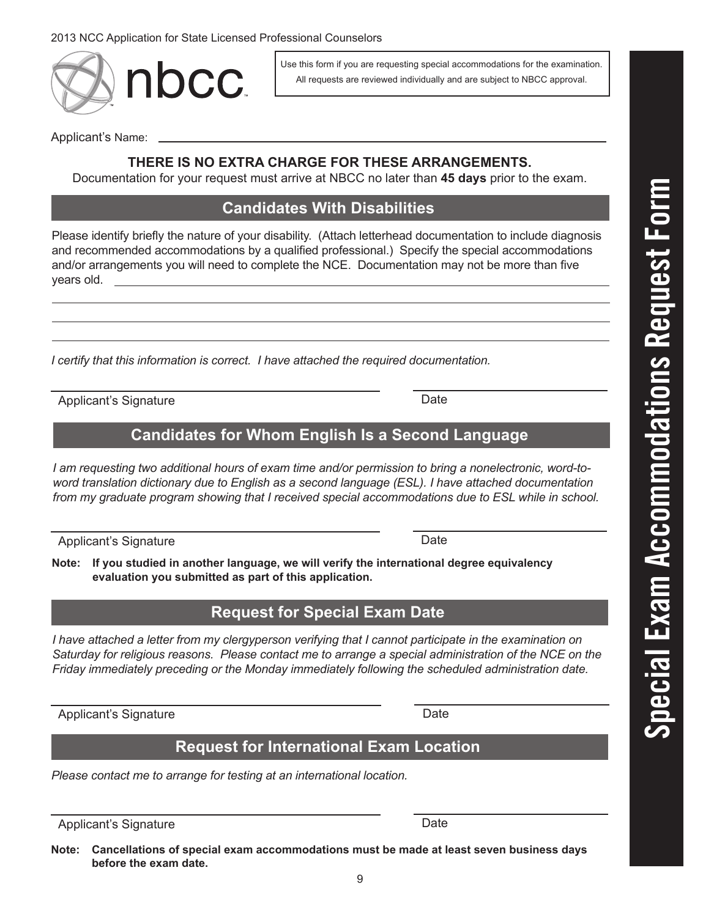2013 NCC Application for State Licensed Professional Counselors

nbcc.

Applicant's Name:

#### **THERE IS NO EXTRA CHARGE FOR THESE ARRANGEMENTS.**

Documentation for your request must arrive at NBCC no later than **45 days** prior to the exam.

#### **Candidates With Disabilities**

Please identify briefly the nature of your disability. (Attach letterhead documentation to include diagnosis and recommended accommodations by a qualified professional.) Specify the special accommodations and/or arrangements you will need to complete the NCE. Documentation may not be more than five years old.

*I certify that this information is correct. I have attached the required documentation.*

Applicant's Signature **Date** 

#### **Candidates for Whom English Is a Second Language**

*I am requesting two additional hours of exam time and/or permission to bring a nonelectronic, word-toword translation dictionary due to English as a second language (ESL). I have attached documentation from my graduate program showing that I received special accommodations due to ESL while in school.*

Applicant's Signature Date

**Note: If you studied in another language, we will verify the international degree equivalency evaluation you submitted as part of this application.**

#### **Request for Special Exam Date**

*I* have attached a letter from my clergyperson verifying that *I* cannot participate in the examination on *Saturday for religious reasons. Please contact me to arrange a special administration of the NCE on the Friday immediately preceding or the Monday immediately following the scheduled administration date.*

Applicant's Signature **Date** Date

#### **Request for International Exam Location**

*Please contact me to arrange for testing at an international location.*

Applicant's Signature Date

**Note: Cancellations of special exam accommodations must be made at least seven business days before the exam date.**

Use this form if you are requesting special accommodations for the examination. All requests are reviewed individually and are subject to NBCC approval.